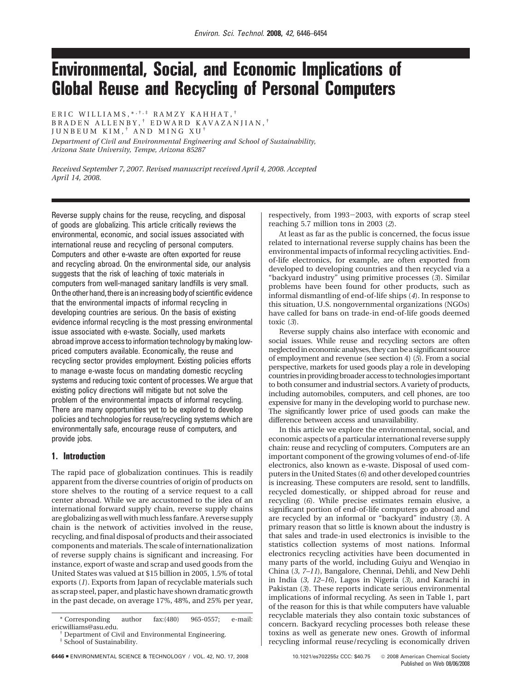# **Environmental, Social, and Economic Implications of Global Reuse and Recycling of Personal Computers**

ERIC WILLIAMS,\* ,†,‡ RAMZY KAHHAT, † BRADEN ALLENBY, † EDWARD KAVAZANJIAN, † JUNBEUM KIM, † AND MING XU † *Department of Civil and Environmental Engineering and School of Sustainability, Arizona State University, Tempe, Arizona 85287*

*Received September 7, 2007. Revised manuscript received April 4, 2008. Accepted April 14, 2008.*

Reverse supply chains for the reuse, recycling, and disposal of goods are globalizing. This article critically reviews the environmental, economic, and social issues associated with international reuse and recycling of personal computers. Computers and other e-waste are often exported for reuse and recycling abroad. On the environmental side, our analysis suggests that the risk of leaching of toxic materials in computers from well-managed sanitary landfills is very small. On the other hand, there is an increasing body of scientific evidence that the environmental impacts of informal recycling in developing countries are serious. On the basis of existing evidence informal recycling is the most pressing environmental issue associated with e-waste. Socially, used markets abroad improve access to information technology by making lowpriced computers available. Economically, the reuse and recycling sector provides employment. Existing policies efforts to manage e-waste focus on mandating domestic recycling systems and reducing toxic content of processes. We argue that existing policy directions will mitigate but not solve the problem of the environmental impacts of informal recycling. There are many opportunities yet to be explored to develop policies and technologies for reuse/recycling systems which are environmentally safe, encourage reuse of computers, and provide jobs.

## **1. Introduction**

The rapid pace of globalization continues. This is readily apparent from the diverse countries of origin of products on store shelves to the routing of a service request to a call center abroad. While we are accustomed to the idea of an international forward supply chain, reverse supply chains are globalizing as well with much less fanfare. A reverse supply chain is the network of activities involved in the reuse, recycling, and final disposal of products and their associated components and materials. The scale of internationalization of reverse supply chains is significant and increasing. For instance, export of waste and scrap and used goods from the United States was valued at \$15 billion in 2005, 1.5% of total exports (*1*). Exports from Japan of recyclable materials such as scrap steel, paper, and plastic have shown dramatic growth in the past decade, on average 17%, 48%, and 25% per year, respectively, from 1993-2003, with exports of scrap steel reaching 5.7 million tons in 2003 (*2*).

At least as far as the public is concerned, the focus issue related to international reverse supply chains has been the environmental impacts of informal recycling activities. Endof-life electronics, for example, are often exported from developed to developing countries and then recycled via a "backyard industry" using primitive processes (*3*). Similar problems have been found for other products, such as informal dismantling of end-of-life ships (*4*). In response to this situation, U.S. nongovernmental organizations (NGOs) have called for bans on trade-in end-of-life goods deemed toxic (*3*).

Reverse supply chains also interface with economic and social issues. While reuse and recycling sectors are often neglected in economic analyses, they can be a significant source of employment and revenue (see section 4) (*5*). From a social perspective, markets for used goods play a role in developing countries in providing broader access to technologies important to both consumer and industrial sectors. A variety of products, including automobiles, computers, and cell phones, are too expensive for many in the developing world to purchase new. The significantly lower price of used goods can make the difference between access and unavailability.

In this article we explore the environmental, social, and economic aspects of a particular international reverse supply chain: reuse and recycling of computers. Computers are an important component of the growing volumes of end-of-life electronics, also known as e-waste. Disposal of used computers in the United States (*6*) and other developed countries is increasing. These computers are resold, sent to landfills, recycled domestically, or shipped abroad for reuse and recycling (*6*). While precise estimates remain elusive, a significant portion of end-of-life computers go abroad and are recycled by an informal or "backyard" industry (*3*). A primary reason that so little is known about the industry is that sales and trade-in used electronics is invisible to the statistics collection systems of most nations. Informal electronics recycling activities have been documented in many parts of the world, including Guiyu and Wenqiao in China (*3, 7–11*), Bangalore, Chennai, Dehli, and New Dehli in India (*3, 12–16*), Lagos in Nigeria (*3*), and Karachi in Pakistan (*3*). These reports indicate serious environmental implications of informal recycling. As seen in Table 1, part of the reason for this is that while computers have valuable recyclable materials they also contain toxic substances of concern. Backyard recycling processes both release these toxins as well as generate new ones. Growth of informal recycling informal reuse/recycling is economically driven

<sup>\*</sup> Corresponding author fax:(480) 965-0557; e-mail:

Department of Civil and Environmental Engineering.

<sup>‡</sup> School of Sustainability.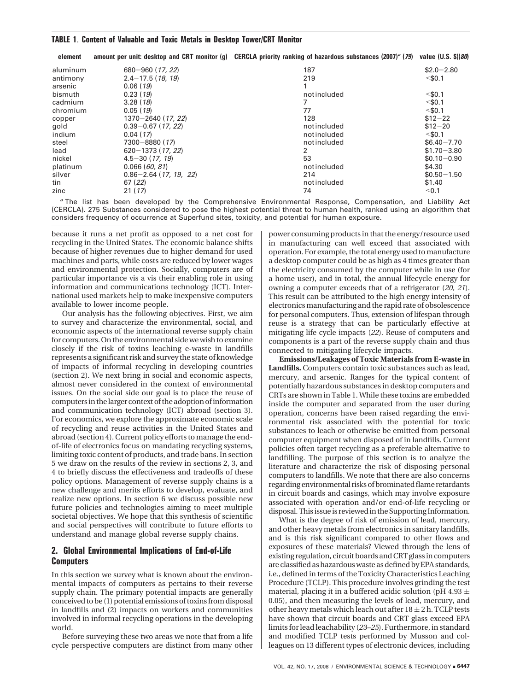#### **TABLE 1**. **Content of Valuable and Toxic Metals in Desktop Tower/CRT Monitor**

**element amount per unit: desktop and CRT monitor (g) CERCLA priority ranking of hazardous substances (2007)***<sup>a</sup>* **(***79***) value (U.S. \$)(***80***)**

| aluminum | 680-960 (17, 22)           | 187                                                                                                                   | $$2.0 - 2.80$  |
|----------|----------------------------|-----------------------------------------------------------------------------------------------------------------------|----------------|
| antimony | $2.4 - 17.5$ (18, 19)      | 219                                                                                                                   | $<$ \$0.1      |
| arsenic  | 0.06(19)                   |                                                                                                                       |                |
| bismuth  | 0.23(19)                   | notincluded                                                                                                           | $<$ \$0.1      |
| cadmium  | 3.28(18)                   |                                                                                                                       | $<$ \$0.1      |
| chromium | 0.05(19)                   | 77                                                                                                                    | $~<$ \$0.1     |
| copper   | 1370-2640 (17, 22)         | 128                                                                                                                   | $$12 - 22$     |
| gold     | $0.39 - 0.67$ (17, 22)     | notincluded                                                                                                           | $$12 - 20$     |
| indium   | 0.04(17)                   | notincluded                                                                                                           | $<$ \$0.1      |
| steel    | 7300-8880 (17)             | notincluded                                                                                                           | $$6.40 - 7.70$ |
| lead     | $620 - 1373$ (17, 22)      | 2                                                                                                                     | $$1.70 - 3.80$ |
| nickel   | $4.5 - 30(17, 19)$         | 53                                                                                                                    | $$0.10 - 0.90$ |
| platinum | 0.066(60, 81)              | notincluded                                                                                                           | \$4.30         |
| silver   | $0.86 - 2.64$ (17, 19, 22) | 214                                                                                                                   | $$0.50 - 1.50$ |
| tin      | 67(22)                     | notincluded                                                                                                           | \$1.40         |
| zinc     | 21(17)                     | 74                                                                                                                    | < 0.1          |
|          |                            | <sup>a</sup> The list has been developed by the Comprehensive Environmental Response, Compensation, and Liability Act |                |

(CERCLA). 275 Substances considered to pose the highest potential threat to human health, ranked using an algorithm that considers frequency of occurrence at Superfund sites, toxicity, and potential for human exposure.

because it runs a net profit as opposed to a net cost for recycling in the United States. The economic balance shifts because of higher revenues due to higher demand for used machines and parts, while costs are reduced by lower wages and environmental protection. Socially, computers are of particular importance vis a vis their enabling role in using information and communications technology (ICT). International used markets help to make inexpensive computers available to lower income people.

Our analysis has the following objectives. First, we aim to survey and characterize the environmental, social, and economic aspects of the international reverse supply chain for computers. On the environmental side we wish to examine closely if the risk of toxins leaching e-waste in landfills represents a significant risk and survey the state of knowledge of impacts of informal recycling in developing countries (section 2). We next bring in social and economic aspects, almost never considered in the context of environmental issues. On the social side our goal is to place the reuse of computers in the larger context of the adoption of information and communication technology (ICT) abroad (section 3). For economics, we explore the approximate economic scale of recycling and reuse activities in the United States and abroad (section 4). Current policy efforts to manage the endof-life of electronics focus on mandating recycling systems, limiting toxic content of products, and trade bans. In section 5 we draw on the results of the review in sections 2, 3, and 4 to briefly discuss the effectiveness and tradeoffs of these policy options. Management of reverse supply chains is a new challenge and merits efforts to develop, evaluate, and realize new options. In section 6 we discuss possible new future policies and technologies aiming to meet multiple societal objectives. We hope that this synthesis of scientific and social perspectives will contribute to future efforts to understand and manage global reverse supply chains.

## **2. Global Environmental Implications of End-of-Life Computers**

In this section we survey what is known about the environmental impacts of computers as pertains to their reverse supply chain. The primary potential impacts are generally conceived to be (1) potential emissions of toxins from disposal in landfills and (2) impacts on workers and communities involved in informal recycling operations in the developing world.

Before surveying these two areas we note that from a life cycle perspective computers are distinct from many other power consuming products in that the energy/resource used in manufacturing can well exceed that associated with operation. For example, the total energy used to manufacture a desktop computer could be as high as 4 times greater than the electricity consumed by the computer while in use (for a home user), and in total, the annual lifecycle energy for owning a computer exceeds that of a refrigerator (*20, 21*). This result can be attributed to the high energy intensity of electronics manufacturing and the rapid rate of obsolescence for personal computers. Thus, extension of lifespan through reuse is a strategy that can be particularly effective at mitigating life cycle impacts (*22*). Reuse of computers and components is a part of the reverse supply chain and thus connected to mitigating lifecycle impacts.

**Emissions/Leakages of Toxic Materials from E-waste in Landfills.** Computers contain toxic substances such as lead, mercury, and arsenic. Ranges for the typical content of potentially hazardous substances in desktop computers and CRTs are shown in Table 1. While these toxins are embedded inside the computer and separated from the user during operation, concerns have been raised regarding the environmental risk associated with the potential for toxic substances to leach or otherwise be emitted from personal computer equipment when disposed of in landfills. Current policies often target recycling as a preferable alternative to landfilling. The purpose of this section is to analyze the literature and characterize the risk of disposing personal computers to landfills. We note that there are also concerns regarding environmental risks of brominated flame retardants in circuit boards and casings, which may involve exposure associated with operation and/or end-of-life recycling or disposal. This issue is reviewed in the Supporting Information.

What is the degree of risk of emission of lead, mercury, and other heavy metals from electronics in sanitary landfills, and is this risk significant compared to other flows and exposures of these materials? Viewed through the lens of existing regulation, circuit boards and CRT glass in computers are classified as hazardous waste as defined by EPA standards, i.e., defined in terms of the Toxicity Characteristics Leaching Procedure (TCLP). This procedure involves grinding the test material, placing it in a buffered acidic solution (pH 4.93  $\pm$ 0.05), and then measuring the levels of lead, mercury, and other heavy metals which leach out after  $18 \pm 2$  h. TCLP tests have shown that circuit boards and CRT glass exceed EPA limits for lead leachability (*23–25*). Furthermore, in standard and modified TCLP tests performed by Musson and colleagues on 13 different types of electronic devices, including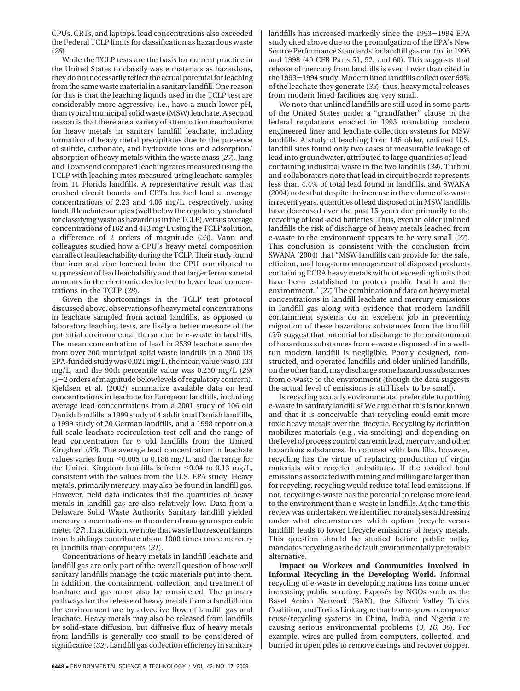CPUs, CRTs, and laptops, lead concentrations also exceeded the Federal TCLP limits for classification as hazardous waste (*26*).

While the TCLP tests are the basis for current practice in the United States to classify waste materials as hazardous, they do not necessarily reflect the actual potential for leaching from the same waste material in a sanitary landfill. One reason for this is that the leaching liquids used in the TCLP test are considerably more aggressive, i.e., have a much lower pH, than typical municipal solid waste (MSW) leachate. A second reason is that there are a variety of attenuation mechanisms for heavy metals in sanitary landfill leachate, including formation of heavy metal precipitates due to the presence of sulfide, carbonate, and hydroxide ions and adsorption/ absorption of heavy metals within the waste mass (*27*). Jang and Townsend compared leaching rates measured using the TCLP with leaching rates measured using leachate samples from 11 Florida landfills. A representative result was that crushed circuit boards and CRTs leached lead at average concentrations of 2.23 and 4.06 mg/L, respectively, using landfill leachate samples (well below the regulatory standard for classifying waste as hazardous in the TCLP), versus average concentrations of 162 and 413 mg/L using the TCLP solution, a difference of 2 orders of magnitude (*23*). Vann and colleagues studied how a CPU's heavy metal composition can affect lead leachability during the TCLP. Their study found that iron and zinc leached from the CPU contributed to suppression of lead leachability and that larger ferrous metal amounts in the electronic device led to lower lead concentrations in the TCLP (*28*).

Given the shortcomings in the TCLP test protocol discussed above, observations of heavy metal concentrations in leachate sampled from actual landfills, as opposed to laboratory leaching tests, are likely a better measure of the potential environmental threat due to e-waste in landfills. The mean concentration of lead in 2539 leachate samples from over 200 municipal solid waste landfills in a 2000 US EPA-funded study was 0.021 mg/L, the mean value was 0.133 mg/L, and the 90th percentile value was 0.250 mg/L (*29*) (1-2 orders of magnitude below levels of regulatory concern). Kjeldsen et al. (2002) summarize available data on lead concentrations in leachate for European landfills, including average lead concentrations from a 2001 study of 106 old Danish landfills, a 1999 study of 4 additional Danish landfills, a 1999 study of 20 German landfills, and a 1998 report on a full-scale leachate recirculation test cell and the range of lead concentration for 6 old landfills from the United Kingdom (*30*). The average lead concentration in leachate values varies from <0.005 to 0.188 mg/L, and the range for the United Kingdom landfills is from  $\leq 0.04$  to 0.13 mg/L, consistent with the values from the U.S. EPA study. Heavy metals, primarily mercury, may also be found in landfill gas. However, field data indicates that the quantities of heavy metals in landfill gas are also relatively low. Data from a Delaware Solid Waste Authority Sanitary landfill yielded mercury concentrations on the order of nanograms per cubic meter (*27*). In addition, we note that waste fluorescent lamps from buildings contribute about 1000 times more mercury to landfills than computers (*31*).

Concentrations of heavy metals in landfill leachate and landfill gas are only part of the overall question of how well sanitary landfills manage the toxic materials put into them. In addition, the containment, collection, and treatment of leachate and gas must also be considered. The primary pathways for the release of heavy metals from a landfill into the environment are by advective flow of landfill gas and leachate. Heavy metals may also be released from landfills by solid-state diffusion, but diffusive flux of heavy metals from landfills is generally too small to be considered of significance (*32*). Landfill gas collection efficiency in sanitary landfills has increased markedly since the 1993-1994 EPA study cited above due to the promulgation of the EPA's New Source Performance Standards for landfill gas control in 1996 and 1998 (40 CFR Parts 51, 52, and 60). This suggests that release of mercury from landfills is even lower than cited in the 1993-1994 study. Modern lined landfills collect over 99% of the leachate they generate (*33*); thus, heavy metal releases from modern lined facilities are very small.

We note that unlined landfills are still used in some parts of the United States under a "grandfather" clause in the federal regulations enacted in 1993 mandating modern engineered liner and leachate collection systems for MSW landfills. A study of leaching from 146 older, unlined U.S. landfill sites found only two cases of measurable leakage of lead into groundwater, attributed to large quantities of leadcontaining industrial waste in the two landfills (*34*). Turbini and collaborators note that lead in circuit boards represents less than 4.4% of total lead found in landfills, and SWANA (2004) notes that despite the increase in the volume of e-waste in recent years, quantities of lead disposed of in MSW landfills have decreased over the past 15 years due primarily to the recycling of lead-acid batteries. Thus, even in older unlined landfills the risk of discharge of heavy metals leached from e-waste to the environment appears to be very small (*27*). This conclusion is consistent with the conclusion from SWANA (2004) that "MSW landfills can provide for the safe, efficient, and long-term management of disposed products containing RCRA heavy metals without exceeding limits that have been established to protect public health and the environment." (*27*) The combination of data on heavy metal concentrations in landfill leachate and mercury emissions in landfill gas along with evidence that modern landfill containment systems do an excellent job in preventing migration of these hazardous substances from the landfill (*35*) suggest that potential for discharge to the environment of hazardous substances from e-waste disposed of in a wellrun modern landfill is negligible. Poorly designed, constructed, and operated landfills and older unlined landfills, on the other hand, may discharge some hazardous substances from e-waste to the environment (though the data suggests the actual level of emissions is still likely to be small).

Is recycling actually environmental preferable to putting e-waste in sanitary landfills? We argue that this is not known and that it is conceivable that recycling could emit more toxic heavy metals over the lifecycle. Recycling by definition mobilizes materials (e.g., via smelting) and depending on the level of process control can emit lead, mercury, and other hazardous substances. In contrast with landfills, however, recycling has the virtue of replacing production of virgin materials with recycled substitutes. If the avoided lead emissions associated with mining and milling are larger than for recycling, recycling would reduce total lead emissions. If not, recycling e-waste has the potential to release more lead to the environment than e-waste in landfills. At the time this review was undertaken, we identified no analyses addressing under what circumstances which option (recycle versus landfill) leads to lower lifecycle emissions of heavy metals. This question should be studied before public policy mandates recycling as the default environmentally preferable alternative.

**Impact on Workers and Communities Involved in Informal Recycling in the Developing World.** Informal recycling of e-waste in developing nations has come under increasing public scrutiny. Exposés by NGOs such as the Basel Action Network (BAN), the Silicon Valley Toxics Coalition, and Toxics Link argue that home-grown computer reuse/recycling systems in China, India, and Nigeria are causing serious environmental problems (*3, 16, 36*). For example, wires are pulled from computers, collected, and burned in open piles to remove casings and recover copper.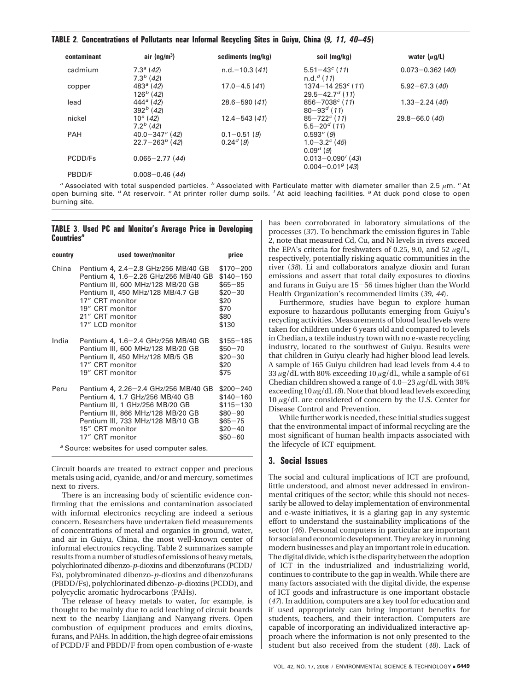#### **TABLE 2**. **Concentrations of Pollutants near Informal Recycling Sites in Guiyu, China (***9, 11, 40–45***)**

| contaminant | air $(nq/m^3)$                                      | sediments (mg/kg)                 | soil (mg/kg)                                                 | water $(\mu q/L)$   |
|-------------|-----------------------------------------------------|-----------------------------------|--------------------------------------------------------------|---------------------|
| cadmium     | $7.3a$ (42)<br>$7.3b$ (42)                          | $n.d. - 10.3(41)$                 | $5.51 - 43^{c}$ (11)<br>$n.d.$ $(11)$                        | $0.073 - 0.362(40)$ |
| copper      | 483 $^{a}$ (42)<br>$126^{b}$ (42)                   | $17.0 - 4.5(41)$                  | $1374 - 14253^{\circ}$ (11)<br>$29.5 - 42.7d$ (11)           | $5.92 - 67.3(40)$   |
| lead        | 444 $^{a}$ (42)<br>$392b$ (42)                      | $28.6 - 590(41)$                  | $856 - 7038$ <sup>c</sup> (11)<br>$80 - 93^d$ (11)           | $1.33 - 2.24(40)$   |
| nickel      | $10^a$ (42)<br>$7.2b$ (42)                          | $12.4 - 543(41)$                  | $85 - 722$ <sup>c</sup> (11)<br>$5.5 - 20d$ (11)             | $29.8 - 66.0$ (40)  |
| <b>PAH</b>  | 40.0 $-347$ <sup>a</sup> (42)<br>$22.7 - 263b$ (42) | $0.1 - 0.51(9)$<br>$0.24^{d}$ (9) | $0.593^e$ (9)<br>$1.0 - 3.2^{c}$ (45)<br>$0.09d$ (9)         |                     |
| PCDD/Es     | $0.065 - 2.77$ (44)                                 |                                   | $0.013 - 0.090^{t}$ (43)<br>$0.004 - 0.01$ <sup>g</sup> (43) |                     |
| PBDD/F      | $0.008 - 0.46$ (44)                                 |                                   |                                                              |                     |

PBDD/F 0.008-0.46 (*44*) *<sup>a</sup>* Associated with total suspended particles. *<sup>b</sup>* Associated with Particulate matter with diameter smaller than 2.5 *µ*m. *<sup>c</sup>* At open burning site. *<sup>d</sup>* At reservoir. *<sup>e</sup>* At printer roller dump soils. *<sup>f</sup>* At acid leaching facilities. *<sup>g</sup>* At duck pond close to open burning site.

## **TABLE 3**. **Used PC and Monitor's Average Price in Developing Countries***<sup>a</sup>*

| country                                                | used tower/monitor                                                                                                                                                                                                                | price                                                                                                |  |  |
|--------------------------------------------------------|-----------------------------------------------------------------------------------------------------------------------------------------------------------------------------------------------------------------------------------|------------------------------------------------------------------------------------------------------|--|--|
| China                                                  | Pentium 4, 2.4-2.8 GHz/256 MB/40 GB<br>Pentium 4, 1.6-2.26 GHz/256 MB/40 GB<br>Pentium III, 600 MHz/128 MB/20 GB<br>Pentium II, 450 MHz/128 MB/4.7 GB<br>17" CRT monitor<br>19" CRT monitor<br>21" CRT monitor<br>17" LCD monitor | $$170 - 200$<br>$$140 - 150$<br>$$65 - 85$<br>$$20 - 30$<br>\$20<br>\$70<br>\$80<br>\$130            |  |  |
| India                                                  | Pentium 4, 1.6-2.4 GHz/256 MB/40 GB<br>Pentium III, 600 MHz/128 MB/20 GB<br>Pentium II, 450 MHz/128 MB/5 GB<br>17" CRT monitor<br>19" CRT monitor                                                                                 | $$155 - 185$<br>$$50 - 70$<br>$$20 - 30$<br>\$20<br>\$75                                             |  |  |
| Peru                                                   | Pentium 4, 2.26-2.4 GHz/256 MB/40 GB<br>Pentium 4, 1.7 GHz/256 MB/40 GB<br>Pentium III, 1 GHz/256 MB/20 GB<br>Pentium III, 866 MHz/128 MB/20 GB<br>Pentium III, 733 MHz/128 MB/10 GB<br>15" CRT monitor<br>17" CRT monitor        | $$200 - 240$<br>$$140 - 160$<br>$$115 - 130$<br>$$80 - 90$<br>$$65 - 75$<br>$$20 - 40$<br>$$50 - 60$ |  |  |
| <sup>a</sup> Source: websites for used computer sales. |                                                                                                                                                                                                                                   |                                                                                                      |  |  |

Circuit boards are treated to extract copper and precious metals using acid, cyanide, and/or and mercury, sometimes next to rivers.

There is an increasing body of scientific evidence confirming that the emissions and contamination associated with informal electronics recycling are indeed a serious concern. Researchers have undertaken field measurements of concentrations of metal and organics in ground, water, and air in Guiyu, China, the most well-known center of informal electronics recycling. Table 2 summarizes sample results from a number of studies of emissions of heavy metals, polychlorinated dibenzo-*p*-dioxins and dibenzofurans (PCDD/ Fs), polybrominated dibenzo-*p*-dioxins and dibenzofurans (PBDD/Fs), polychlorinated dibenzo-*p*-dioxins (PCDD), and polycyclic aromatic hydrocarbons (PAHs).

The release of heavy metals to water, for example, is thought to be mainly due to acid leaching of circuit boards next to the nearby Lianjiang and Nanyang rivers. Open combustion of equipment produces and emits dioxins, furans, and PAHs. In addition, the high degree of air emissions of PCDD/F and PBDD/F from open combustion of e-waste has been corroborated in laboratory simulations of the processes (*37*). To benchmark the emission figures in Table 2, note that measured Cd, Cu, and Ni levels in rivers exceed the EPA's criteria for freshwaters of 0.25, 9.0, and 52 *µ*g/L, respectively, potentially risking aquatic communities in the river (*38*). Li and collaborators analyze dioxin and furan emissions and assert that total daily exposures to dioxins and furans in Guiyu are 15-56 times higher than the World Health Organization's recommended limits (*39, 44*).

Furthermore, studies have begun to explore human exposure to hazardous pollutants emerging from Guiyu's recycling activities. Measurements of blood lead levels were taken for children under 6 years old and compared to levels in Chedian, a textile industry town with no e-waste recycling industry, located to the southwest of Guiyu. Results were that children in Guiyu clearly had higher blood lead levels. A sample of 165 Guiyu children had lead levels from 4.4 to 33 *µ*g/dL with 80% exceeding 10 *µ*g/dL, while a sample of 61 Chedian children showed a range of 4.0-<sup>23</sup> *<sup>µ</sup>*g/dL with 38% exceeding 10 *µ*g/dL (*8*). Note that blood lead levels exceeding 10 *µ*g/dL are considered of concern by the U.S. Center for Disease Control and Prevention.

While further work is needed, these initial studies suggest that the environmental impact of informal recycling are the most significant of human health impacts associated with the lifecycle of ICT equipment.

## **3. Social Issues**

The social and cultural implications of ICT are profound, little understood, and almost never addressed in environmental critiques of the sector; while this should not necessarily be allowed to delay implementation of environmental and e-waste initiatives, it is a glaring gap in any systemic effort to understand the sustainability implications of the sector (*46*). Personal computers in particular are important for social and economic development. They are key in running modern businesses and play an important role in education. The digital divide, which is the disparity between the adoption of ICT in the industrialized and industrializing world, continues to contribute to the gap in wealth. While there are many factors associated with the digital divide, the expense of ICT goods and infrastructure is one important obstacle (*47*). In addition, computers are a key tool for education and if used appropriately can bring important benefits for students, teachers, and their interaction. Computers are capable of incorporating an individualized interactive approach where the information is not only presented to the student but also received from the student (*48*). Lack of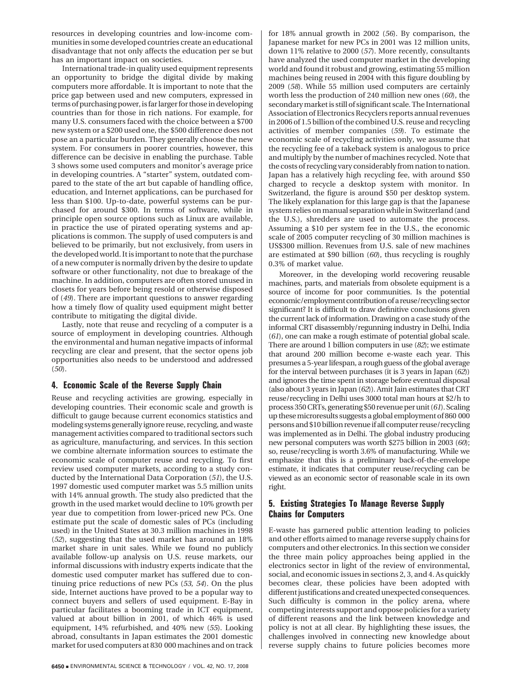resources in developing countries and low-income communities in some developed countries create an educational disadvantage that not only affects the education per se but has an important impact on societies.

International trade-in quality used equipment represents an opportunity to bridge the digital divide by making computers more affordable. It is important to note that the price gap between used and new computers, expressed in terms of purchasing power, is far larger for those in developing countries than for those in rich nations. For example, for many U.S. consumers faced with the choice between a \$700 new system or a \$200 used one, the \$500 difference does not pose an a particular burden. They generally choose the new system. For consumers in poorer countries, however, this difference can be decisive in enabling the purchase. Table 3 shows some used computers and monitor's average price in developing countries. A "starter" system, outdated compared to the state of the art but capable of handling office, education, and Internet applications, can be purchased for less than \$100. Up-to-date, powerful systems can be purchased for around \$300. In terms of software, while in principle open source options such as Linux are available, in practice the use of pirated operating systems and applications is common. The supply of used computers is and believed to be primarily, but not exclusively, from users in the developed world. It is important to note that the purchase of a new computer is normally driven by the desire to update software or other functionality, not due to breakage of the machine. In addition, computers are often stored unused in closets for years before being resold or otherwise disposed of (*49*). There are important questions to answer regarding how a timely flow of quality used equipment might better contribute to mitigating the digital divide.

Lastly, note that reuse and recycling of a computer is a source of employment in developing countries. Although the environmental and human negative impacts of informal recycling are clear and present, that the sector opens job opportunities also needs to be understood and addressed (*50*).

# **4. Economic Scale of the Reverse Supply Chain**

Reuse and recycling activities are growing, especially in developing countries. Their economic scale and growth is difficult to gauge because current economics statistics and modeling systems generally ignore reuse, recycling, and waste management activities compared to traditional sectors such as agriculture, manufacturing, and services. In this section we combine alternate information sources to estimate the economic scale of computer reuse and recycling. To first review used computer markets, according to a study conducted by the International Data Corporation (*51*), the U.S. 1997 domestic used computer market was 5.5 million units with 14% annual growth. The study also predicted that the growth in the used market would decline to 10% growth per year due to competition from lower-priced new PCs. One estimate put the scale of domestic sales of PCs (including used) in the United States at 30.3 million machines in 1998 (*52*), suggesting that the used market has around an 18% market share in unit sales. While we found no publicly available follow-up analysis on U.S. reuse markets, our informal discussions with industry experts indicate that the domestic used computer market has suffered due to continuing price reductions of new PCs (*53, 54*). On the plus side, Internet auctions have proved to be a popular way to connect buyers and sellers of used equipment. E-Bay in particular facilitates a booming trade in ICT equipment, valued at about billion in 2001, of which 46% is used equipment, 14% refurbished, and 40% new (*55*). Looking abroad, consultants in Japan estimates the 2001 domestic market for used computers at 830 000 machines and on track for 18% annual growth in 2002 (*56*). By comparison, the Japanese market for new PCs in 2001 was 12 million units, down 11% relative to 2000 (*57*). More recently, consultants have analyzed the used computer market in the developing world and found it robust and growing, estimating 55 million machines being reused in 2004 with this figure doubling by 2009 (*58*). While 55 million used computers are certainly worth less the production of 240 million new ones (*60*), the secondary market is still of significant scale. The International Association of Electronics Recyclers reports annual revenues in 2006 of 1.5 billion of the combined U.S. reuse and recycling activities of member companies (*59*). To estimate the economic scale of recycling activities only, we assume that the recycling fee of a takeback system is analogous to price and multiply by the number of machines recycled. Note that the costs of recycling vary considerably from nation to nation. Japan has a relatively high recycling fee, with around \$50 charged to recycle a desktop system with monitor. In Switzerland, the figure is around \$50 per desktop system. The likely explanation for this large gap is that the Japanese system relies on manual separation while in Switzerland (and the U.S.), shredders are used to automate the process. Assuming a \$10 per system fee in the U.S., the economic scale of 2005 computer recycling of 30 million machines is US\$300 million. Revenues from U.S. sale of new machines are estimated at \$90 billion (*60*), thus recycling is roughly 0.3% of market value.

Moreover, in the developing world recovering reusable machines, parts, and materials from obsolete equipment is a source of income for poor communities. Is the potential economic/employment contribution of a reuse/recycling sector significant? It is difficult to draw definitive conclusions given the current lack of information. Drawing on a case study of the informal CRT disassembly/regunning industry in Delhi, India (*61*), one can make a rough estimate of potential global scale. There are around 1 billion computers in use (*82*); we estimate that around 200 million become e-waste each year. This presumes a 5-year lifespan, a rough guess of the global average for the interval between purchases (it is 3 years in Japan (*62*)) and ignores the time spent in storage before eventual disposal (also about 3 years in Japan (*62*)). Amit Jain estimates that CRT reuse/recycling in Delhi uses 3000 total man hours at \$2/h to process 350 CRTs, generating \$50 revenue per unit (*61*). Scaling up these microresults suggests a global employment of 860 000 persons and \$10 billion revenue if all computer reuse/recycling was implemented as in Delhi. The global industry producing new personal computers was worth \$275 billion in 2003 (*60*); so, reuse/recycling is worth 3.6% of manufacturing. While we emphasize that this is a preliminary back-of-the-envelope estimate, it indicates that computer reuse/recycling can be viewed as an economic sector of reasonable scale in its own right.

## **5. Existing Strategies To Manage Reverse Supply Chains for Computers**

E-waste has garnered public attention leading to policies and other efforts aimed to manage reverse supply chains for computers and other electronics. In this section we consider the three main policy approaches being applied in the electronics sector in light of the review of environmental, social, and economic issues in sections 2, 3, and 4. As quickly becomes clear, these policies have been adopted with different justifications and created unexpected consequences. Such difficulty is common in the policy arena, where competing interests support and oppose policies for a variety of different reasons and the link between knowledge and policy is not at all clear. By highlighting these issues, the challenges involved in connecting new knowledge about reverse supply chains to future policies becomes more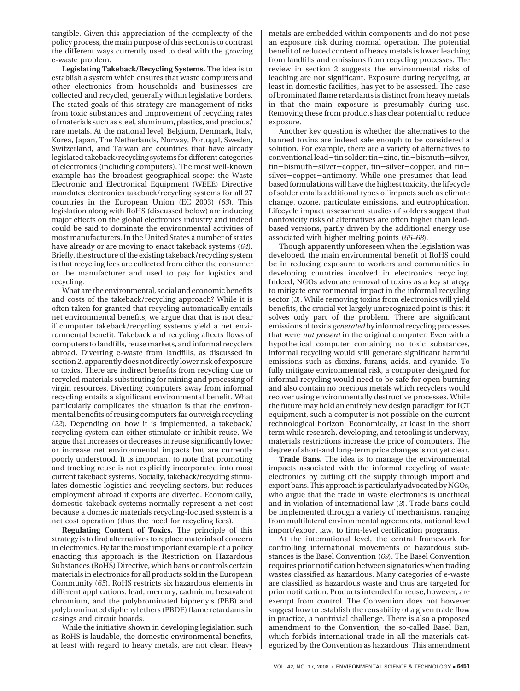tangible. Given this appreciation of the complexity of the policy process, the main purpose of this section is to contrast the different ways currently used to deal with the growing e-waste problem.

**Legislating Takeback/Recycling Systems.** The idea is to establish a system which ensures that waste computers and other electronics from households and businesses are collected and recycled, generally within legislative borders. The stated goals of this strategy are management of risks from toxic substances and improvement of recycling rates of materials such as steel, aluminum, plastics, and precious/ rare metals. At the national level, Belgium, Denmark, Italy, Korea, Japan, The Netherlands, Norway, Portugal, Sweden, Switzerland, and Taiwan are countries that have already legislated takeback/recycling systems for different categories of electronics (including computers). The most well-known example has the broadest geographical scope: the Waste Electronic and Electronical Equipment (WEEE) Directive mandates electronics takeback/recycling systems for all 27 countries in the European Union (EC 2003) (*63*). This legislation along with RoHS (discussed below) are inducing major effects on the global electronics industry and indeed could be said to dominate the environmental activities of most manufacturers. In the United States a number of states have already or are moving to enact takeback systems (*64*). Briefly, the structure of the existing takeback/recycling system is that recycling fees are collected from either the consumer or the manufacturer and used to pay for logistics and recycling.

What are the environmental, social and economic benefits and costs of the takeback/recycling approach? While it is often taken for granted that recycling automatically entails net environmental benefits, we argue that that is not clear if computer takeback/recycling systems yield a net environmental benefit. Takeback and recycling affects flows of computers to landfills, reuse markets, and informal recyclers abroad. Diverting e-waste from landfills, as discussed in section 2, apparently does not directly lower risk of exposure to toxics. There are indirect benefits from recycling due to recycled materials substituting for mining and processing of virgin resources. Diverting computers away from informal recycling entails a significant environmental benefit. What particularly complicates the situation is that the environmental benefits of reusing computers far outweigh recycling (*22*). Depending on how it is implemented, a takeback/ recycling system can either stimulate or inhibit reuse. We argue that increases or decreases in reuse significantly lower or increase net environmental impacts but are currently poorly understood. It is important to note that promoting and tracking reuse is not explicitly incorporated into most current takeback systems. Socially, takeback/recycling stimulates domestic logistics and recycling sectors, but reduces employment abroad if exports are diverted. Economically, domestic takeback systems normally represent a net cost because a domestic materials recycling-focused system is a net cost operation (thus the need for recycling fees).

**Regulating Content of Toxics.** The principle of this strategy is to find alternatives to replace materials of concern in electronics. By far the most important example of a policy enacting this approach is the Restriction on Hazardous Substances (RoHS) Directive, which bans or controls certain materials in electronics for all products sold in the European Community (*65*). RoHS restricts six hazardous elements in different applications: lead, mercury, cadmium, hexavalent chromium, and the polybrominated biphenyls (PBB) and polybrominated diphenyl ethers (PBDE) flame retardants in casings and circuit boards.

While the initiative shown in developing legislation such as RoHS is laudable, the domestic environmental benefits, at least with regard to heavy metals, are not clear. Heavy metals are embedded within components and do not pose an exposure risk during normal operation. The potential benefit of reduced content of heavy metals is lower leaching from landfills and emissions from recycling processes. The review in section 2 suggests the environmental risks of leaching are not significant. Exposure during recycling, at least in domestic facilities, has yet to be assessed. The case of brominated flame retardants is distinct from heavy metals in that the main exposure is presumably during use. Removing these from products has clear potential to reduce exposure.

Another key question is whether the alternatives to the banned toxins are indeed safe enough to be considered a solution. For example, there are a variety of alternatives to conventional lead-tin solder: tin-zinc, tin-bismuth-silver, tin-bismuth-silver-copper, tin-silver-copper, and tinsilver-copper-antimony. While one presumes that leadbased formulations will have the highest toxicity, the lifecycle of solder entails additional types of impacts such as climate change, ozone, particulate emissions, and eutrophication. Lifecycle impact assessment studies of solders suggest that nontoxicity risks of alternatives are often higher than leadbased versions, partly driven by the additional energy use associated with higher melting points (*66–68*).

Though apparently unforeseen when the legislation was developed, the main environmental benefit of RoHS could be in reducing exposure to workers and communities in developing countries involved in electronics recycling. Indeed, NGOs advocate removal of toxins as a key strategy to mitigate environmental impact in the informal recycling sector (*3*). While removing toxins from electronics will yield benefits, the crucial yet largely unrecognized point is this: it solves only part of the problem. There are significant emissions of toxins *generated* by informal recycling processes that were *not present* in the original computer. Even with a hypothetical computer containing no toxic substances, informal recycling would still generate significant harmful emissions such as dioxins, furans, acids, and cyanide. To fully mitigate environmental risk, a computer designed for informal recycling would need to be safe for open burning and also contain no precious metals which recyclers would recover using environmentally destructive processes. While the future may hold an entirely new design paradigm for ICT equipment, such a computer is not possible on the current technological horizon. Economically, at least in the short term while research, developing, and retooling is underway, materials restrictions increase the price of computers. The degree of short-and long-term price changes is not yet clear.

**Trade Bans.** The idea is to manage the environmental impacts associated with the informal recycling of waste electronics by cutting off the supply through import and export bans. This approach is particularly advocated by NGOs, who argue that the trade in waste electronics is unethical and in violation of international law (*3*). Trade bans could be implemented through a variety of mechanisms, ranging from multilateral environmental agreements, national level import/export law, to firm-level certification programs.

At the international level, the central framework for controlling international movements of hazardous substances is the Basel Convention (*69*). The Basel Convention requires prior notification between signatories when trading wastes classified as hazardous. Many categories of e-waste are classified as hazardous waste and thus are targeted for prior notification. Products intended for reuse, however, are exempt from control. The Convention does not however suggest how to establish the reusability of a given trade flow in practice, a nontrivial challenge. There is also a proposed amendment to the Convention, the so-called Basel Ban, which forbids international trade in all the materials categorized by the Convention as hazardous. This amendment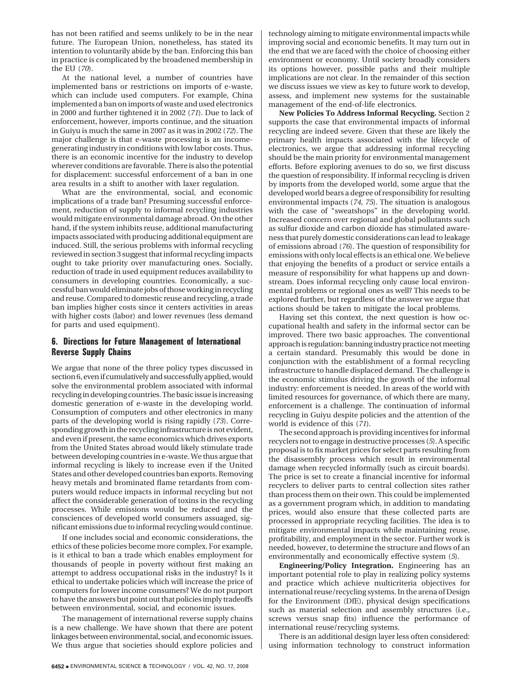has not been ratified and seems unlikely to be in the near future. The European Union, nonetheless, has stated its intention to voluntarily abide by the ban. Enforcing this ban in practice is complicated by the broadened membership in the EU (*70*).

At the national level, a number of countries have implemented bans or restrictions on imports of e-waste, which can include used computers. For example, China implemented a ban on imports of waste and used electronics in 2000 and further tightened it in 2002 (*71*). Due to lack of enforcement, however, imports continue, and the situation in Guiyu is much the same in 2007 as it was in 2002 (*72*). The major challenge is that e-waste processing is an incomegenerating industry in conditions with low labor costs. Thus, there is an economic incentive for the industry to develop wherever conditions are favorable. There is also the potential for displacement: successful enforcement of a ban in one area results in a shift to another with laxer regulation.

What are the environmental, social, and economic implications of a trade ban? Presuming successful enforcement, reduction of supply to informal recycling industries would mitigate environmental damage abroad. On the other hand, if the system inhibits reuse, additional manufacturing impacts associated with producing additional equipment are induced. Still, the serious problems with informal recycling reviewed in section 3 suggest that informal recycling impacts ought to take priority over manufacturing ones. Socially, reduction of trade in used equipment reduces availability to consumers in developing countries. Economically, a successful ban would eliminate jobs of those working in recycling and reuse. Compared to domestic reuse and recycling, a trade ban implies higher costs since it centers activities in areas with higher costs (labor) and lower revenues (less demand for parts and used equipment).

# **6. Directions for Future Management of International Reverse Supply Chains**

We argue that none of the three policy types discussed in section 6, even if cumulatively and successfully applied, would solve the environmental problem associated with informal recycling in developing countries. The basic issue is increasing domestic generation of e-waste in the developing world. Consumption of computers and other electronics in many parts of the developing world is rising rapidly (*73*). Corresponding growth in the recycling infrastructure is not evident, and even if present, the same economics which drives exports from the United States abroad would likely stimulate trade between developing countries in e-waste. We thus argue that informal recycling is likely to increase even if the United States and other developed countries ban exports. Removing heavy metals and brominated flame retardants from computers would reduce impacts in informal recycling but not affect the considerable generation of toxins in the recycling processes. While emissions would be reduced and the consciences of developed world consumers assuaged, significant emissions due to informal recycling would continue.

If one includes social and economic considerations, the ethics of these policies become more complex. For example, is it ethical to ban a trade which enables employment for thousands of people in poverty without first making an attempt to address occupational risks in the industry? Is it ethical to undertake policies which will increase the price of computers for lower income consumers? We do not purport to have the answers but point out that policies imply tradeoffs between environmental, social, and economic issues.

The management of international reverse supply chains is a new challenge. We have shown that there are potent linkages between environmental, social, and economic issues. We thus argue that societies should explore policies and technology aiming to mitigate environmental impacts while improving social and economic benefits. It may turn out in the end that we are faced with the choice of choosing either environment or economy. Until society broadly considers its options however, possible paths and their multiple implications are not clear. In the remainder of this section we discuss issues we view as key to future work to develop, assess, and implement new systems for the sustainable management of the end-of-life electronics.

**New Policies To Address Informal Recycling.** Section 2 supports the case that environmental impacts of informal recycling are indeed severe. Given that these are likely the primary health impacts associated with the lifecycle of electronics, we argue that addressing informal recycling should be the main priority for environmental management efforts. Before exploring avenues to do so, we first discuss the question of responsibility. If informal recycling is driven by imports from the developed world, some argue that the developed world bears a degree of responsibility for resulting environmental impacts (*74, 75*). The situation is analogous with the case of "sweatshops" in the developing world. Increased concern over regional and global pollutants such as sulfur dioxide and carbon dioxide has stimulated awareness that purely domestic considerations can lead to leakage of emissions abroad (*76*). The question of responsibility for emissions with only local effects is an ethical one. We believe that enjoying the benefits of a product or service entails a measure of responsibility for what happens up and downstream. Does informal recycling only cause local environmental problems or regional ones as well? This needs to be explored further, but regardless of the answer we argue that actions should be taken to mitigate the local problems.

Having set this context, the next question is how occupational health and safety in the informal sector can be improved. There two basic approaches. The conventional approach is regulation: banning industry practice not meeting a certain standard. Presumably this would be done in conjunction with the establishment of a formal recycling infrastructure to handle displaced demand. The challenge is the economic stimulus driving the growth of the informal industry: enforcement is needed. In areas of the world with limited resources for governance, of which there are many, enforcement is a challenge. The continuation of informal recycling in Guiyu despite policies and the attention of the world is evidence of this (*71*).

The second approach is providing incentives for informal recyclers not to engage in destructive processes (*5*). A specific proposal is to fix market prices for select parts resulting from the disassembly process which result in environmental damage when recycled informally (such as circuit boards). The price is set to create a financial incentive for informal recyclers to deliver parts to central collection sites rather than process them on their own. This could be implemented as a government program which, in addition to mandating prices, would also ensure that these collected parts are processed in appropriate recycling facilities. The idea is to mitigate environmental impacts while maintaining reuse, profitability, and employment in the sector. Further work is needed, however, to determine the structure and flows of an environmentally and economically effective system (*5*).

**Engineering/Policy Integration.** Engineering has an important potential role to play in realizing policy systems and practice which achieve multicriteria objectives for international reuse/recycling systems. In the arena of Design for the Environment (DfE), physical design specifications such as material selection and assembly structures (i.e., screws versus snap fits) influence the performance of international reuse/recycling systems.

There is an additional design layer less often considered: using information technology to construct information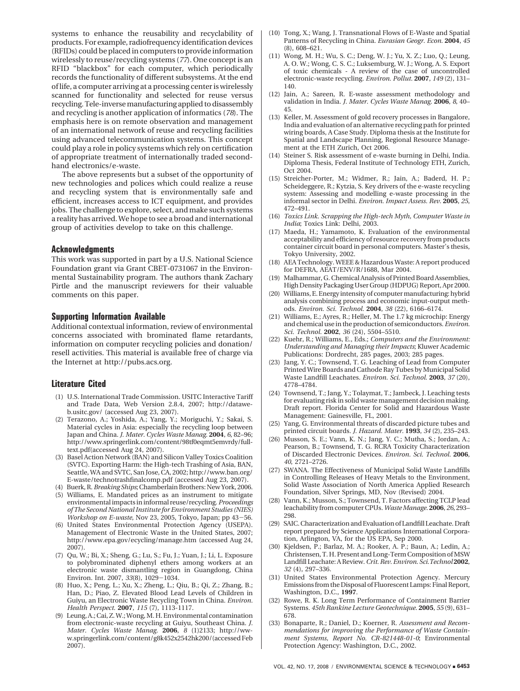systems to enhance the reusability and recyclability of products. For example, radiofrequency identification devices (RFIDs) could be placed in computers to provide information wirelessly to reuse/recycling systems (*77*). One concept is an RFID "blackbox" for each computer, which periodically records the functionality of different subsystems. At the end of life, a computer arriving at a processing center is wirelessly scanned for functionality and selected for reuse versus recycling. Tele-inverse manufacturing applied to disassembly and recycling is another application of informatics (*78*). The emphasis here is on remote observation and management of an international network of reuse and recycling facilities using advanced telecommunication systems. This concept could play a role in policy systems which rely on certification of appropriate treatment of internationally traded secondhand electronics/e-waste.

The above represents but a subset of the opportunity of new technologies and polices which could realize a reuse and recycling system that is environmentally safe and efficient, increases access to ICT equipment, and provides jobs. The challenge to explore, select, and make such systems a reality has arrived. We hope to see a broad and international group of activities develop to take on this challenge.

#### **Acknowledgments**

This work was supported in part by a U.S. National Science Foundation grant via Grant CBET-0731067 in the Environmental Sustainability program. The authors thank Zachary Pirtle and the manuscript reviewers for their valuable comments on this paper.

#### **Supporting Information Available**

Additional contextual information, review of environmental concerns associated with brominated flame retardants, information on computer recycling policies and donation/ resell activities. This material is available free of charge via the Internet at http://pubs.acs.org.

### **Literature Cited**

- (1) U.S. International Trade Commission. USITC Interactive Tariff and Trade Data, Web Version 2.8.4, 2007; http://dataweb.usitc.gov/ (accessed Aug 23, 2007).
- (2) Terazono, A.; Yoshida, A.; Yang, Y.; Moriguchi, Y.; Sakai, S. Material cycles in Asia: especially the recycling loop between Japan and China. *J. Mater. Cycles Waste Manag.* **2004**, *6*, 82–96; http://www.springerlink.com/content/98tf0eqmt5emvrdy/fulltext.pdf(accessed Aug 24, 2007).
- (3) Basel Action Network (BAN) and Silicon Valley Toxics Coalition (SVTC). Exporting Harm: the High-tech Trashing of Asia, BAN, Seattle, WA and SVTC, San Jose, CA, 2002; http://www.ban.org/ E-waste/technotrashfinalcomp.pdf (accessed Aug 23, 2007).
- (4) Buerk, R.*Breaking Ships*; Chamberlain Brothers: New York, 2006.
- (5) Williams, E. Mandated prices as an instrument to mitigate environmental impacts in informal reuse/recycling.*Proceedings of The Second National Institute for Environment Studies (NIES) Workshop on E-waste*, Nov 23, 2005, Tokyo, Japan; pp 43-56.
- (6) United States Environmental Protection Agency (USEPA). Management of Electronic Waste in the United States, 2007; http://www.epa.gov/ecycling/manage.htm (accessed Aug 24, 2007).
- (7) Qu, W.; Bi, X.; Sheng, G.; Lu, S.; Fu, J.; Yuan, J.; Li, L. Exposure to polybrominated diphenyl ethers among workers at an electronic waste dismantling region in Guangdong, China Environ. Int. 2007, *<sup>33</sup>*(8), 1029-1034.
- (8) Huo, X.; Peng, L.; Xu, X.; Zheng, L.; Qiu, B.; Qi, Z.; Zhang, B.; Han, D.; Piao, Z. Elevated Blood Lead Levels of Children in Guiyu, an Electronic Waste Recycling Town in China. *Environ. Health Perspect.* **2007**, *115* (7), 1113-1117.
- (9) Leung, A.; Cai, Z. W.; Wong, M. H. Environmental contamination from electronic-waste recycling at Guiyu, Southeast China. *J. Mater. Cycles Waste Manag.* **2006**, *8* (1)2133; http://www.springerlink.com/content/g8k452x2542hk200/(accessed Feb 2007).
- (10) Tong, X.; Wang, J. Transnational Flows of E-Waste and Spatial Patterns of Recycling in China. *Eurasian Geogr. Econ.* **2004**, *45* (8), 608–621.
- (11) Wong, M. H.; Wu, S. C.; Deng, W. J.; Yu, X. Z.; Luo, Q.; Leung, A. O. W.; Wong, C. S. C.; Luksemburg, W. J.; Wong, A. S. Export of toxic chemicals - A review of the case of uncontrolled electronic-waste recycling. *Environ. Pollut.* **2007**, *149* (2), 131– 140.
- (12) Jain, A.; Sareen, R. E-waste assessment methodology and validation in India. *J. Mater. Cycles Waste Manag.* **2006**, *8*, 40– 45.
- (13) Keller, M. Assessment of gold recovery processes in Bangalore, India and evaluation of an alternative recycling path for printed wiring boards, A Case Study. Diploma thesis at the Institute for Spatial and Landscape Planning, Regional Resource Management at the ETH Zurich, Oct 2006.
- (14) Steiner S. Risk assessment of e-waste burning in Delhi, India. Diploma Thesis, Federal Institute of Technology ETH, Zurich, Oct 2004.
- (15) Streicher-Porter, M.; Widmer, R.; Jain, A.; Baderd, H. P.; Scheideggere, R.; Kytzia, S. Key drivers of the e-waste recycling system: Assessing and modelling e-waste processing in the informal sector in Delhi. *Environ. Impact Assess. Rev.* **2005**, *25*, 472–491.
- (16) *Toxics Link. Scrapping the High-tech Myth, Computer Waste in India*; Toxics Link: Delhi, 2003.
- (17) Maeda, H.; Yamamoto, K. Evaluation of the environmental acceptability and efficiency of resource recovery from products container circuit board in personal computers. Master's thesis, Tokyo University, 2002.
- (18) AEA Technology. WEEE & Hazardous Waste: A report produced for DEFRA, AEAT/ENV/R/1688, Mar 2004.
- Malhammar, G. Chemical Analysis of Printed Board Assemblies, High Density Packaging User Group (HDPUG) Report, Apr 2000.
- (20) Williams, E. Energy intensity of computer manufacturing: hybrid analysis combining process and economic input-output methods. *Environ. Sci. Technol.* **2004**, *38* (22), 6166–6174.
- (21) Williams, E.; Ayres, R.; Heller, M. The 1.7 kg microchip: Energy and chemical use in the production of semiconductors. *Environ. Sci. Technol.* **2002**, *36* (24), 5504–5510.
- (22) Kuehr, R.; Williams, E., Eds.; *Computers and the Environment: Understanding and Managing their Impacts*; Kluwer Academic Publications: Dordrecht, 285 pages, 2003; 285 pages.
- (23) Jang, Y. C.; Townsend, T. G. Leaching of Lead from Computer Printed Wire Boards and Cathode Ray Tubes by Municipal Solid Waste Landfill Leachates. *Environ. Sci. Technol.* **2003**, *37* (20), 4778–4784.
- (24) Townsend, T.; Jang, Y.; Tolaymat, T.; Jambeck, J. Leaching tests for evaluating risk in solid waste management decision making. Draft report. Florida Center for Solid and Hazardous Waste Management: Gainesville, FL, 2001.
- (25) Yang, G. Environmental threats of discarded picture tubes and printed circuit boards. *J. Hazard. Mater.* **1993**, *34* (2), 235–243.
- (26) Musson, S. E.; Vann, K. N.; Jang, Y. C.; Mutha, S.; Jordan, A.; Pearson, B.; Townsend, T. G. RCRA Toxicity Characterization of Discarded Electronic Devices. *Environ. Sci. Technol.* **2006**, *40*, 2721–2726.
- (27) SWANA. The Effectiveness of Municipal Solid Waste Landfills in Controlling Releases of Heavy Metals to the Environment, Solid Waste Association of North America Applied Research Foundation, Silver Springs, MD, Nov (Revised) 2004.
- (28) Vann, K.; Musson, S.; Townsend, T. Factors affecting TCLP lead leachability from computer CPUs.*Waste Manage.* **2006**, *26*, 293– 298.
- (29) SAIC. Characterization and Evaluation of Landfill Leachate. Draft report prepared by Science Applications International Corporation, Arlington, VA, for the US EPA, Sep 2000.
- (30) Kjeldsen, P.; Barlaz, M. A.; Rooker, A. P.; Baun, A.; Ledin, A.; Christensen, T. H. Present and Long-Term Composition of MSW Landfill Leachate: A Review.*Crit. Rev. Environ. Sci.Technol* **2002**, *32* (4), 297–336.
- (31) United States Environmental Protection Agency. Mercury Emissions from the Disposal of Fluorescent Lamps: Final Report, Washington, D.C., **1997**.
- (32) Rowe, R. K. Long Term Performance of Containment Barrier Systems. *45th Rankine Lecture Geotechnique.* **2005**, *55* (9), 631– 678.
- (33) Bonaparte, R.; Daniel, D.; Koerner, R. *Assessment and Recommendations for improving the Performance of Waste Containment Systems, Report No. CR-821448-01-0*; Environmental Protection Agency: Washington, D.C., 2002.